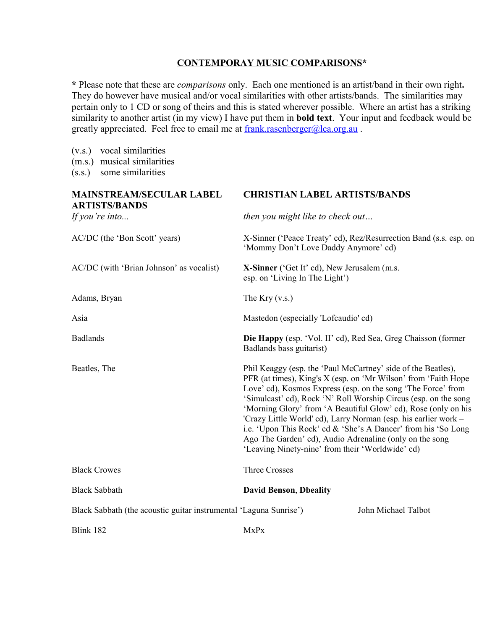## **CONTEMPORAY MUSIC COMPARISONS\***

**\*** Please note that these are *comparisons* only. Each one mentioned is an artist/band in their own right**.** They do however have musical and/or vocal similarities with other artists/bands. The similarities may pertain only to 1 CD or song of theirs and this is stated wherever possible. Where an artist has a striking similarity to another artist (in my view) I have put them in **bold text**. Your input and feedback would be greatly appreciated. Feel free to email me at frank.rasenberger@lca.org.au.

(v.s.) vocal similarities (m.s.) musical similarities (s.s.) some similarities **MAINSTREAM/SECULAR LABEL CHRISTIAN LABEL ARTISTS/BANDS ARTISTS/BANDS** *If you're into... then you might like to check out…* AC/DC (the 'Bon Scott' years) X-Sinner ('Peace Treaty' cd), Rez/Resurrection Band (s.s. esp. on 'Mommy Don't Love Daddy Anymore' cd) AC/DC (with 'Brian Johnson' as vocalist) **X-Sinner** ('Get It' cd), New Jerusalem (m.s. esp. on 'Living In The Light') Adams, Bryan The Kry (v.s.) Asia Mastedon (especially 'Lofcaudio' cd) Badlands **Die Happy** (esp. 'Vol. II' cd), Red Sea, Greg Chaisson (former Badlands bass guitarist) Beatles, The **Phil Keaggy (esp. the 'Paul McCartney'** side of the Beatles), PFR (at times), King's X (esp. on 'Mr Wilson' from 'Faith Hope Love' cd), Kosmos Express (esp. on the song 'The Force' from 'Simulcast' cd), Rock 'N' Roll Worship Circus (esp. on the song 'Morning Glory' from 'A Beautiful Glow' cd), Rose (only on his 'Crazy Little World' cd), Larry Norman (esp. his earlier work – i.e. 'Upon This Rock' cd & 'She's A Dancer' from his 'So Long Ago The Garden' cd), Audio Adrenaline (only on the song 'Leaving Ninety-nine' from their 'Worldwide' cd) Black Crowes Three Crosses Black Sabbath **David Benson**, **Dbeality** Black Sabbath (the acoustic guitar instrumental 'Laguna Sunrise') John Michael Talbot  $\frac{182}{\text{NxPx}}$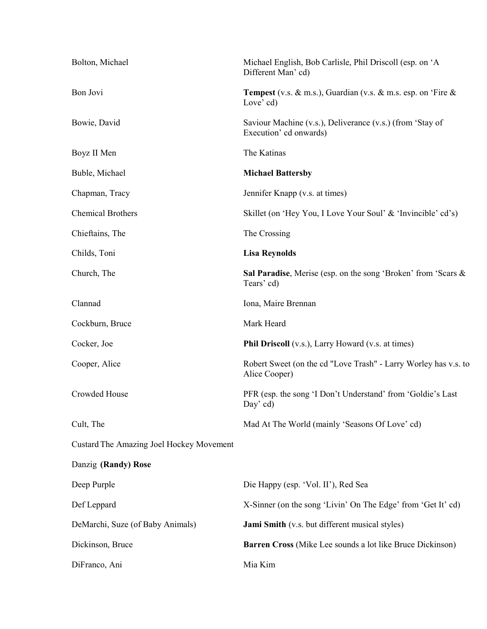| Bolton, Michael                          | Michael English, Bob Carlisle, Phil Driscoll (esp. on 'A<br>Different Man' cd)            |
|------------------------------------------|-------------------------------------------------------------------------------------------|
| Bon Jovi                                 | <b>Tempest</b> (v.s. $\&$ m.s.), Guardian (v.s. $\&$ m.s. esp. on 'Fire $\&$<br>Love' cd) |
| Bowie, David                             | Saviour Machine (v.s.), Deliverance (v.s.) (from 'Stay of<br>Execution' cd onwards)       |
| Boyz II Men                              | The Katinas                                                                               |
| Buble, Michael                           | <b>Michael Battersby</b>                                                                  |
| Chapman, Tracy                           | Jennifer Knapp (v.s. at times)                                                            |
| <b>Chemical Brothers</b>                 | Skillet (on 'Hey You, I Love Your Soul' & 'Invincible' cd's)                              |
| Chieftains, The                          | The Crossing                                                                              |
| Childs, Toni                             | <b>Lisa Reynolds</b>                                                                      |
| Church, The                              | Sal Paradise, Merise (esp. on the song 'Broken' from 'Scars &<br>Tears' cd)               |
| Clannad                                  | Iona, Maire Brennan                                                                       |
| Cockburn, Bruce                          | Mark Heard                                                                                |
| Cocker, Joe                              | <b>Phil Driscoll</b> (v.s.), Larry Howard (v.s. at times)                                 |
| Cooper, Alice                            | Robert Sweet (on the cd "Love Trash" - Larry Worley has v.s. to<br>Alice Cooper)          |
| Crowded House                            | PFR (esp. the song 'I Don't Understand' from 'Goldie's Last<br>Day' cd)                   |
| Cult, The                                | Mad At The World (mainly 'Seasons Of Love' cd)                                            |
| Custard The Amazing Joel Hockey Movement |                                                                                           |
| Danzig (Randy) Rose                      |                                                                                           |
| Deep Purple                              | Die Happy (esp. 'Vol. II'), Red Sea                                                       |
| Def Leppard                              | X-Sinner (on the song 'Livin' On The Edge' from 'Get It' cd)                              |
| DeMarchi, Suze (of Baby Animals)         | <b>Jami Smith</b> (v.s. but different musical styles)                                     |
| Dickinson, Bruce                         | <b>Barren Cross</b> (Mike Lee sounds a lot like Bruce Dickinson)                          |
| DiFranco, Ani                            | Mia Kim                                                                                   |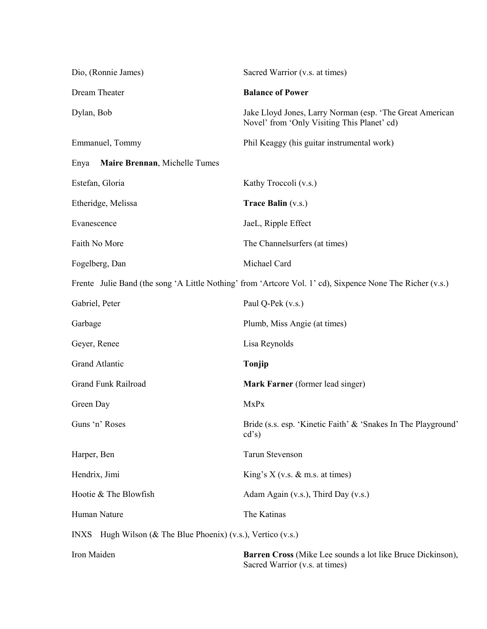| Dio, (Ronnie James)                                                        | Sacred Warrior (v.s. at times)                                                                            |
|----------------------------------------------------------------------------|-----------------------------------------------------------------------------------------------------------|
| Dream Theater                                                              | <b>Balance of Power</b>                                                                                   |
| Dylan, Bob                                                                 | Jake Lloyd Jones, Larry Norman (esp. 'The Great American<br>Novel' from 'Only Visiting This Planet' cd)   |
| Emmanuel, Tommy                                                            | Phil Keaggy (his guitar instrumental work)                                                                |
| Maire Brennan, Michelle Tumes<br>Enya                                      |                                                                                                           |
| Estefan, Gloria                                                            | Kathy Troccoli (v.s.)                                                                                     |
| Etheridge, Melissa                                                         | <b>Trace Balin (v.s.)</b>                                                                                 |
| Evanescence                                                                | JaeL, Ripple Effect                                                                                       |
| Faith No More                                                              | The Channelsurfers (at times)                                                                             |
| Fogelberg, Dan                                                             | Michael Card                                                                                              |
|                                                                            | Frente Julie Band (the song 'A Little Nothing' from 'Artcore Vol. 1' cd), Sixpence None The Richer (v.s.) |
| Gabriel, Peter                                                             | Paul Q-Pek (v.s.)                                                                                         |
| Garbage                                                                    | Plumb, Miss Angie (at times)                                                                              |
| Geyer, Renee                                                               | Lisa Reynolds                                                                                             |
| Grand Atlantic                                                             | Tonjip                                                                                                    |
| Grand Funk Railroad                                                        | Mark Farner (former lead singer)                                                                          |
| Green Day                                                                  | MxPx                                                                                                      |
| Guns 'n' Roses                                                             | Bride (s.s. esp. 'Kinetic Faith' & 'Snakes In The Playground'<br>cd's)                                    |
| Harper, Ben                                                                | <b>Tarun Stevenson</b>                                                                                    |
| Hendrix, Jimi                                                              | King's $X$ (v.s. $\&$ m.s. at times)                                                                      |
| Hootie & The Blowfish                                                      | Adam Again (v.s.), Third Day (v.s.)                                                                       |
| Human Nature                                                               | The Katinas                                                                                               |
| Hugh Wilson ( $\&$ The Blue Phoenix) (v.s.), Vertico (v.s.)<br><b>INXS</b> |                                                                                                           |
| Iron Maiden                                                                | <b>Barren Cross</b> (Mike Lee sounds a lot like Bruce Dickinson),<br>Sacred Warrior (v.s. at times)       |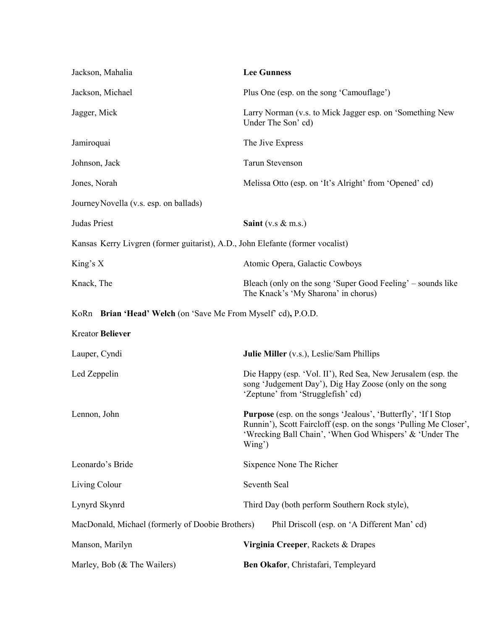| Jackson, Mahalia                                                               | <b>Lee Gunness</b>                                                                                                                                                                                             |
|--------------------------------------------------------------------------------|----------------------------------------------------------------------------------------------------------------------------------------------------------------------------------------------------------------|
| Jackson, Michael                                                               | Plus One (esp. on the song 'Camouflage')                                                                                                                                                                       |
| Jagger, Mick                                                                   | Larry Norman (v.s. to Mick Jagger esp. on 'Something New<br>Under The Son' cd)                                                                                                                                 |
| Jamiroquai                                                                     | The Jive Express                                                                                                                                                                                               |
| Johnson, Jack                                                                  | <b>Tarun Stevenson</b>                                                                                                                                                                                         |
| Jones, Norah                                                                   | Melissa Otto (esp. on 'It's Alright' from 'Opened' cd)                                                                                                                                                         |
| Journey Novella (v.s. esp. on ballads)                                         |                                                                                                                                                                                                                |
| Judas Priest                                                                   | Saint (v.s $&$ m.s.)                                                                                                                                                                                           |
| Kansas Kerry Livgren (former guitarist), A.D., John Elefante (former vocalist) |                                                                                                                                                                                                                |
| King's $X$                                                                     | Atomic Opera, Galactic Cowboys                                                                                                                                                                                 |
| Knack, The                                                                     | Bleach (only on the song 'Super Good Feeling' – sounds like<br>The Knack's 'My Sharona' in chorus)                                                                                                             |
| KoRn Brian 'Head' Welch (on 'Save Me From Myself' cd), P.O.D.                  |                                                                                                                                                                                                                |
| <b>Kreator Believer</b>                                                        |                                                                                                                                                                                                                |
| Lauper, Cyndi                                                                  | <b>Julie Miller</b> (v.s.), Leslie/Sam Phillips                                                                                                                                                                |
| Led Zeppelin                                                                   | Die Happy (esp. 'Vol. II'), Red Sea, New Jerusalem (esp. the<br>song 'Judgement Day'), Dig Hay Zoose (only on the song<br>'Zeptune' from 'Strugglefish' cd)                                                    |
| Lennon, John                                                                   | <b>Purpose</b> (esp. on the songs 'Jealous', 'Butterfly', 'If I Stop<br>Runnin'), Scott Faircloff (esp. on the songs 'Pulling Me Closer',<br>'Wrecking Ball Chain', 'When God Whispers' & 'Under The<br>Wing') |
| Leonardo's Bride                                                               | Sixpence None The Richer                                                                                                                                                                                       |
| Living Colour                                                                  | Seventh Seal                                                                                                                                                                                                   |
| Lynyrd Skynrd                                                                  | Third Day (both perform Southern Rock style),                                                                                                                                                                  |
| MacDonald, Michael (formerly of Doobie Brothers)                               | Phil Driscoll (esp. on 'A Different Man' cd)                                                                                                                                                                   |
| Manson, Marilyn                                                                | Virginia Creeper, Rackets & Drapes                                                                                                                                                                             |
| Marley, Bob (& The Wailers)                                                    | Ben Okafor, Christafari, Templeyard                                                                                                                                                                            |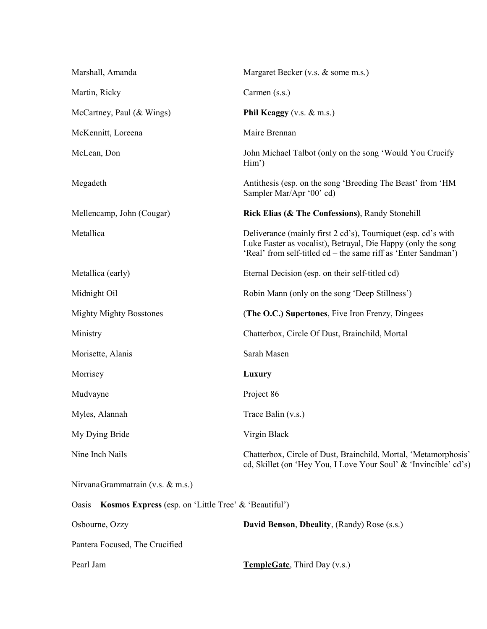| Marshall, Amanda                                              | Margaret Becker (v.s. & some m.s.)                                                                                                                                                              |  |
|---------------------------------------------------------------|-------------------------------------------------------------------------------------------------------------------------------------------------------------------------------------------------|--|
| Martin, Ricky                                                 | Carmen (s.s.)                                                                                                                                                                                   |  |
| McCartney, Paul $(\&$ Wings)                                  | Phil Keaggy (v.s. $&$ m.s.)                                                                                                                                                                     |  |
| McKennitt, Loreena                                            | Maire Brennan                                                                                                                                                                                   |  |
| McLean, Don                                                   | John Michael Talbot (only on the song 'Would You Crucify<br>$\text{Him'}$                                                                                                                       |  |
| Megadeth                                                      | Antithesis (esp. on the song 'Breeding The Beast' from 'HM<br>Sampler Mar/Apr '00' cd)                                                                                                          |  |
| Mellencamp, John (Cougar)                                     | Rick Elias (& The Confessions), Randy Stonehill                                                                                                                                                 |  |
| Metallica                                                     | Deliverance (mainly first 2 cd's), Tourniquet (esp. cd's with<br>Luke Easter as vocalist), Betrayal, Die Happy (only the song<br>'Real' from self-titled cd – the same riff as 'Enter Sandman') |  |
| Metallica (early)                                             | Eternal Decision (esp. on their self-titled cd)                                                                                                                                                 |  |
| Midnight Oil                                                  | Robin Mann (only on the song 'Deep Stillness')                                                                                                                                                  |  |
| <b>Mighty Mighty Bosstones</b>                                | (The O.C.) Supertones, Five Iron Frenzy, Dingees                                                                                                                                                |  |
| Ministry                                                      | Chatterbox, Circle Of Dust, Brainchild, Mortal                                                                                                                                                  |  |
| Morisette, Alanis                                             | Sarah Masen                                                                                                                                                                                     |  |
| Morrisey                                                      | Luxury                                                                                                                                                                                          |  |
| Mudvayne                                                      | Project 86                                                                                                                                                                                      |  |
| Myles, Alannah                                                | Trace Balin (v.s.)                                                                                                                                                                              |  |
| My Dying Bride                                                | Virgin Black                                                                                                                                                                                    |  |
| Nine Inch Nails                                               | Chatterbox, Circle of Dust, Brainchild, Mortal, 'Metamorphosis'<br>ed, Skillet (on 'Hey You, I Love Your Soul' & 'Invincible' ed's)                                                             |  |
| NirvanaGrammatrain (v.s. & m.s.)                              |                                                                                                                                                                                                 |  |
| Kosmos Express (esp. on 'Little Tree' & 'Beautiful')<br>Oasis |                                                                                                                                                                                                 |  |
| Osbourne, Ozzy                                                | David Benson, Dbeality, (Randy) Rose (s.s.)                                                                                                                                                     |  |
| Pantera Focused, The Crucified                                |                                                                                                                                                                                                 |  |
| Pearl Jam                                                     | <b>TempleGate</b> , Third Day (v.s.)                                                                                                                                                            |  |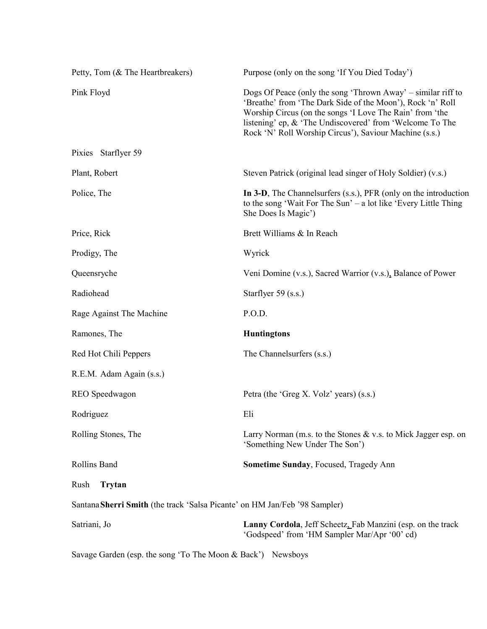| Petty, Tom (& The Heartbreakers)                                           | Purpose (only on the song 'If You Died Today')                                                                                                                                                                                                                                                               |  |
|----------------------------------------------------------------------------|--------------------------------------------------------------------------------------------------------------------------------------------------------------------------------------------------------------------------------------------------------------------------------------------------------------|--|
| Pink Floyd                                                                 | Dogs Of Peace (only the song 'Thrown Away' – similar riff to<br>'Breathe' from 'The Dark Side of the Moon'), Rock 'n' Roll<br>Worship Circus (on the songs 'I Love The Rain' from 'the<br>listening' ep, & 'The Undiscovered' from 'Welcome To The<br>Rock 'N' Roll Worship Circus'), Saviour Machine (s.s.) |  |
| Pixies Starflyer 59                                                        |                                                                                                                                                                                                                                                                                                              |  |
| Plant, Robert                                                              | Steven Patrick (original lead singer of Holy Soldier) (v.s.)                                                                                                                                                                                                                                                 |  |
| Police, The                                                                | In 3-D, The Channelsurfers (s.s.), PFR (only on the introduction<br>to the song 'Wait For The Sun' – a lot like 'Every Little Thing<br>She Does Is Magic')                                                                                                                                                   |  |
| Price, Rick                                                                | Brett Williams & In Reach                                                                                                                                                                                                                                                                                    |  |
| Prodigy, The                                                               | Wyrick                                                                                                                                                                                                                                                                                                       |  |
| Queensryche                                                                | Veni Domine (v.s.), Sacred Warrior (v.s.), Balance of Power                                                                                                                                                                                                                                                  |  |
| Radiohead                                                                  | Starflyer 59 (s.s.)                                                                                                                                                                                                                                                                                          |  |
| Rage Against The Machine                                                   | P.O.D.                                                                                                                                                                                                                                                                                                       |  |
| Ramones, The                                                               | <b>Huntingtons</b>                                                                                                                                                                                                                                                                                           |  |
| Red Hot Chili Peppers                                                      | The Channelsurfers (s.s.)                                                                                                                                                                                                                                                                                    |  |
| R.E.M. Adam Again (s.s.)                                                   |                                                                                                                                                                                                                                                                                                              |  |
| REO Speedwagon                                                             | Petra (the 'Greg X. Volz' years) (s.s.)                                                                                                                                                                                                                                                                      |  |
| Rodriguez                                                                  | Eli                                                                                                                                                                                                                                                                                                          |  |
| Rolling Stones, The                                                        | Larry Norman (m.s. to the Stones $&\mathbf{x}$ v.s. to Mick Jagger esp. on<br>'Something New Under The Son')                                                                                                                                                                                                 |  |
| Rollins Band                                                               | Sometime Sunday, Focused, Tragedy Ann                                                                                                                                                                                                                                                                        |  |
| Rush<br>Trytan                                                             |                                                                                                                                                                                                                                                                                                              |  |
| Santana Sherri Smith (the track 'Salsa Picante' on HM Jan/Feb '98 Sampler) |                                                                                                                                                                                                                                                                                                              |  |
| Satriani, Jo                                                               | Lanny Cordola, Jeff Scheetz, Fab Manzini (esp. on the track<br>'Godspeed' from 'HM Sampler Mar/Apr '00' cd)                                                                                                                                                                                                  |  |

Savage Garden (esp. the song 'To The Moon & Back') Newsboys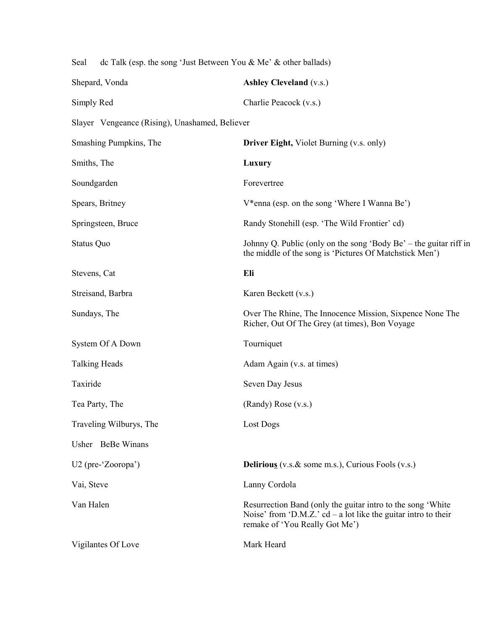| Seal<br>dc Talk (esp. the song 'Just Between You & Me' & other ballads) |                                                                                                                                                                   |
|-------------------------------------------------------------------------|-------------------------------------------------------------------------------------------------------------------------------------------------------------------|
| Shepard, Vonda                                                          | <b>Ashley Cleveland (v.s.)</b>                                                                                                                                    |
| Simply Red                                                              | Charlie Peacock (v.s.)                                                                                                                                            |
| Slayer Vengeance (Rising), Unashamed, Believer                          |                                                                                                                                                                   |
| Smashing Pumpkins, The                                                  | <b>Driver Eight, Violet Burning (v.s. only)</b>                                                                                                                   |
| Smiths, The                                                             | Luxury                                                                                                                                                            |
| Soundgarden                                                             | Forevertree                                                                                                                                                       |
| Spears, Britney                                                         | V*enna (esp. on the song 'Where I Wanna Be')                                                                                                                      |
| Springsteen, Bruce                                                      | Randy Stonehill (esp. 'The Wild Frontier' cd)                                                                                                                     |
| Status Quo                                                              | Johnny Q. Public (only on the song 'Body Be' – the guitar riff in<br>the middle of the song is 'Pictures Of Matchstick Men')                                      |
| Stevens, Cat                                                            | Eli                                                                                                                                                               |
| Streisand, Barbra                                                       | Karen Beckett (v.s.)                                                                                                                                              |
| Sundays, The                                                            | Over The Rhine, The Innocence Mission, Sixpence None The<br>Richer, Out Of The Grey (at times), Bon Voyage                                                        |
| System Of A Down                                                        | Tourniquet                                                                                                                                                        |
| <b>Talking Heads</b>                                                    | Adam Again (v.s. at times)                                                                                                                                        |
| Taxiride                                                                | Seven Day Jesus                                                                                                                                                   |
| Tea Party, The                                                          | (Randy) Rose (v.s.)                                                                                                                                               |
| Traveling Wilburys, The                                                 | Lost Dogs                                                                                                                                                         |
| Usher BeBe Winans                                                       |                                                                                                                                                                   |
| U2 (pre-'Zooropa')                                                      | <b>Delirious</b> (v.s. $\&$ some m.s.), Curious Fools (v.s.)                                                                                                      |
| Vai, Steve                                                              | Lanny Cordola                                                                                                                                                     |
| Van Halen                                                               | Resurrection Band (only the guitar intro to the song 'White<br>Noise' from 'D.M.Z.' $cd - a$ lot like the guitar intro to their<br>remake of 'You Really Got Me') |
| Vigilantes Of Love                                                      | Mark Heard                                                                                                                                                        |